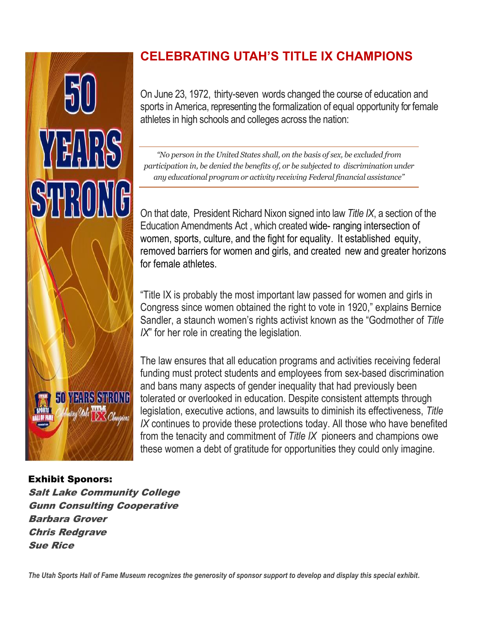

## Exhibit Sponors:

Salt Lake Community College Gunn Consulting Cooperative Barbara Grover Chris Redgrave Sue Rice

## **CELEBRATING UTAH'S TITLE IX CHAMPIONS**

On June 23, 1972, thirty-seven words changed the course of education and sports in America, representing the formalization of equal opportunity for female athletes in high schools and colleges across the nation:

*"No person in the United States shall, on the basis of sex, be excluded from participation in, be denied the benefits of, or be subjected to discrimination under any educational program or activity receiving Federal financial assistance"*

On that date, President Richard Nixon signed into law *Title IX*, a section of the Education Amendments Act , which created wide- ranging intersection of women, sports, culture, and the fight for equality. It established equity, removed barriers for women and girls, and created new and greater horizons for female athletes.

"Title IX is probably the most important law passed for women and girls in Congress since women obtained the right to vote in 1920," explains Bernice Sandler, a staunch women's rights activist known as the "Godmother of *Title IX*" for her role in creating the legislation.

The law ensures that all education programs and activities receiving federal funding must protect students and employees from sex-based discrimination and bans many aspects of gender inequality that had previously been tolerated or overlooked in education. Despite consistent attempts through legislation, executive actions, and lawsuits to diminish its effectiveness, *Title IX* continues to provide these protections today. All those who have benefited from the tenacity and commitment of *Title IX* pioneers and champions owe these women a debt of gratitude for opportunities they could only imagine.

*The Utah Sports Hall of Fame Museum recognizes the generosity of sponsor support to develop and display this special exhibit.*